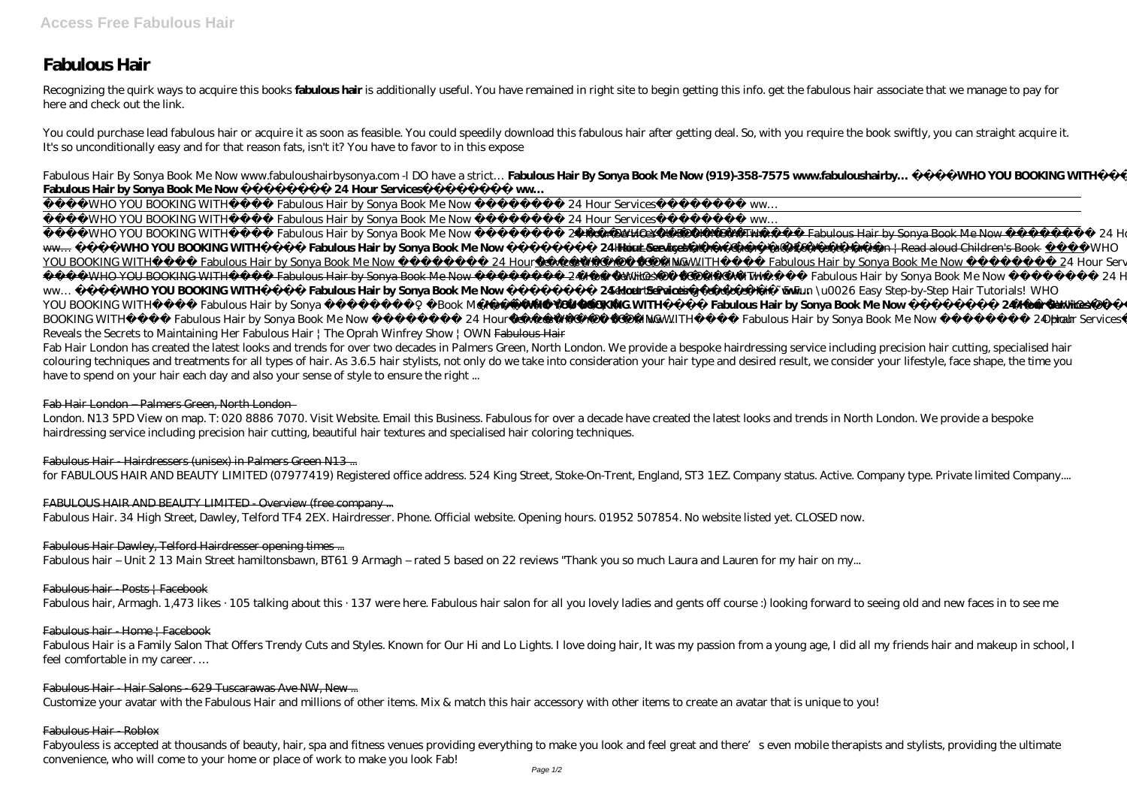# **Fabulous Hair**

Recognizing the quirk ways to acquire this books **fabulous hair** is additionally useful. You have remained in right site to begin getting this info. get the fabulous hair associate that we manage to pay for here and check out the link.

You could purchase lead fabulous hair or acquire it as soon as feasible. You could speedily download this fabulous hair after getting deal. So, with you require the book swiftly, you can straight acquire it. It's so unconditionally easy and for that reason fats, isn't it? You have to favor to in this expose

Fabulous Hair By Sonya Book Me Now www.fabuloushairbysonya.com -I DO have a strict… **Fabulous Hair By Sonya Book Me Now (919)-358-7575 www.fabuloushairby… WHO YOU BOOKING WITH**

Fab Hair London has created the latest looks and trends for over two decades in Palmers Green, North London. We provide a bespoke hairdressing service including precision hair cutting, specialised hair colouring techniques and treatments for all types of hair. As 3.6.5 hair stylists, not only do we take into consideration your hair type and desired result, we consider your lifestyle, face shape, the time you have to spend on your hair each day and also your sense of style to ensure the right ...

| Fabulous Hair by Sonya Book Me Now                                                                                                                                 | 24 Hour Services                                                                 | <b>WW</b>               |                            |                              |                                                                                                                |                           |                |
|--------------------------------------------------------------------------------------------------------------------------------------------------------------------|----------------------------------------------------------------------------------|-------------------------|----------------------------|------------------------------|----------------------------------------------------------------------------------------------------------------|---------------------------|----------------|
| WHO YOU BOOKING WITH                                                                                                                                               | Fabulous Hair by Sonya Book Me Now                                               |                         | 24 Hour Services           | WW                           |                                                                                                                |                           |                |
| WHO YOU BOOKING WITH                                                                                                                                               | Fabulous Hair by Sonya Book Me Now                                               |                         | 24 Hour Services           | WW                           |                                                                                                                |                           |                |
| WHO YOU BOOKING WITH                                                                                                                                               | Fabulous Hair by Sonya Book Me Now                                               |                         | 24 Hour Services —         |                              | WHOW BOOKING WITH Fabulous Hair by Sonya Book Me Now                                                           | <b>24 Hour Services</b>   |                |
| <b>WHO YOU BOOKING WITH</b><br><b>WW</b>                                                                                                                           | <b>Fabulous Hair by Sonya Book Me Now</b>                                        |                         | <b>24 Har Services</b>     |                              | Hair Love by Matthew Cherry \u0026 Vashti Harrison   Read aloud Children's Book ____WHO                        |                           |                |
| YOU BOOKING WITH                                                                                                                                                   | Fabulous Hair by Sonya Book Me Now 24 Hour Services ______ WMO. YOU BOOKING WITH |                         |                            |                              | Fabulous Hair by Sonya Book Me Now 24 Hour Services                                                            |                           | WW.            |
| - WHO YOU BOOKING WITH Fabulous Hair by Sonya Book Me Now 24 Hour Services                                                                                         |                                                                                  |                         |                            |                              | WMQXOU BOOKING WITH Fabulous Hair by Sonya Book Me Now                                                         | <i>24 Hour Services</i>   |                |
| $WW\!\ldots$                                                                                                                                                       | WHO YOU BOOKING WITH Fabulous Hair by Sonya Book Me Now                          |                         |                            |                              | <b>24 Hour Services</b> Secret to Mainting Fabulous Hair - 5 Fun \ u0026 Easy Step-by-Step Hair Tutorials! WHO |                           |                |
| YOU BOOKING WITH                                                                                                                                                   | Fabulous Hair by Sonya                                                           | <i>Book Me Now</i>      | <b>WHOYOU BOOKING WITH</b> |                              | <b>Fabulous Hair by Sonya Book Me Now</b>                                                                      | <b>24 Hour Services</b>   | <b>WHAXYOU</b> |
| BOOKING WITH                                                                                                                                                       | Fabulous Hair by Sonya Book Me Now                                               | <i>24 Hour Services</i> |                            | <b>WHO. YOU BOOKING WITH</b> | Fabulous Hair by Sonya Book Me Now                                                                             | 24 Hour Services Oprah ww |                |
| $\mathbf{u}$ . $\mathbf{u}$ . $\mathbf{u}$ . $\mathbf{u}$ . $\mathbf{u}$ . $\mathbf{u}$ . $\mathbf{u}$ . $\mathbf{u}$ . $\mathbf{u}$ . $\mathbf{u}$ . $\mathbf{u}$ |                                                                                  |                         | $\sqrt{1 + \pi + \pi}$ 1 1 |                              |                                                                                                                |                           |                |

Reveals the Secrets to Maintaining Her Fabulous Hair | The Oprah Winfrey Show | OWN Fabulous Hair

Fabyouless is accepted at thousands of beauty, hair, spa and fitness venues providing everything to make you look and feel great and there's even mobile therapists and stylists, providing the ultimate convenience, who will come to your home or place of work to make you look Fab!

# Fab Hair London – Palmers Green, North London

London. N13 5PD View on map. T: 020 8886 7070. Visit Website. Email this Business. Fabulous for over a decade have created the latest looks and trends in North London. We provide a bespoke hairdressing service including precision hair cutting, beautiful hair textures and specialised hair coloring techniques.

# Fabulous Hair - Hairdressers (unisex) in Palmers Green N13 ...

for FABULOUS HAIR AND BEAUTY LIMITED (07977419) Registered office address. 524 King Street, Stoke-On-Trent, England, ST3 1EZ. Company status. Active. Company type. Private limited Company....

# FABULOUS HAIR AND BEAUTY LIMITED Overview (free company ...

Fabulous Hair. 34 High Street, Dawley, Telford TF4 2EX. Hairdresser. Phone. Official website. Opening hours. 01952 507854. No website listed yet. CLOSED now.

# Fabulous Hair Dawley, Telford Hairdresser opening times ...

Fabulous hair – Unit 2 13 Main Street hamiltonsbawn, BT61 9 Armagh – rated 5 based on 22 reviews "Thank you so much Laura and Lauren for my hair on my...

# Fabulous hair - Posts | Facebook

Fabulous hair, Armagh. 1,473 likes · 105 talking about this · 137 were here. Fabulous hair salon for all you lovely ladies and gents off course :) looking forward to seeing old and new faces in to see me

#### Fabulous hair - Home | Facebook

Fabulous Hair is a Family Salon That Offers Trendy Cuts and Styles. Known for Our Hi and Lo Lights. I love doing hair, It was my passion from a young age, I did all my friends hair and makeup in school, I feel comfortable in my career. …

#### Fabulous Hair - Hair Salons - 629 Tuscarawas Ave NW, New ...

Customize your avatar with the Fabulous Hair and millions of other items. Mix & match this hair accessory with other items to create an avatar that is unique to you!

#### Fabulous Hair - Roblox